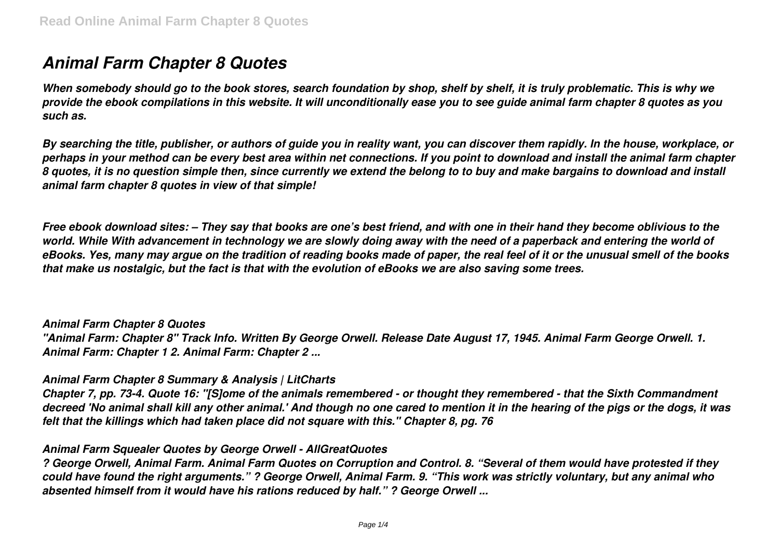# *Animal Farm Chapter 8 Quotes*

*When somebody should go to the book stores, search foundation by shop, shelf by shelf, it is truly problematic. This is why we provide the ebook compilations in this website. It will unconditionally ease you to see guide animal farm chapter 8 quotes as you such as.*

*By searching the title, publisher, or authors of guide you in reality want, you can discover them rapidly. In the house, workplace, or perhaps in your method can be every best area within net connections. If you point to download and install the animal farm chapter 8 quotes, it is no question simple then, since currently we extend the belong to to buy and make bargains to download and install animal farm chapter 8 quotes in view of that simple!*

*Free ebook download sites: – They say that books are one's best friend, and with one in their hand they become oblivious to the world. While With advancement in technology we are slowly doing away with the need of a paperback and entering the world of eBooks. Yes, many may argue on the tradition of reading books made of paper, the real feel of it or the unusual smell of the books that make us nostalgic, but the fact is that with the evolution of eBooks we are also saving some trees.*

#### *Animal Farm Chapter 8 Quotes*

*"Animal Farm: Chapter 8" Track Info. Written By George Orwell. Release Date August 17, 1945. Animal Farm George Orwell. 1. Animal Farm: Chapter 1 2. Animal Farm: Chapter 2 ...*

#### *Animal Farm Chapter 8 Summary & Analysis | LitCharts*

*Chapter 7, pp. 73-4. Quote 16: "[S]ome of the animals remembered - or thought they remembered - that the Sixth Commandment decreed 'No animal shall kill any other animal.' And though no one cared to mention it in the hearing of the pigs or the dogs, it was felt that the killings which had taken place did not square with this." Chapter 8, pg. 76*

#### *Animal Farm Squealer Quotes by George Orwell - AllGreatQuotes*

*? George Orwell, Animal Farm. Animal Farm Quotes on Corruption and Control. 8. "Several of them would have protested if they could have found the right arguments." ? George Orwell, Animal Farm. 9. "This work was strictly voluntary, but any animal who absented himself from it would have his rations reduced by half." ? George Orwell ...*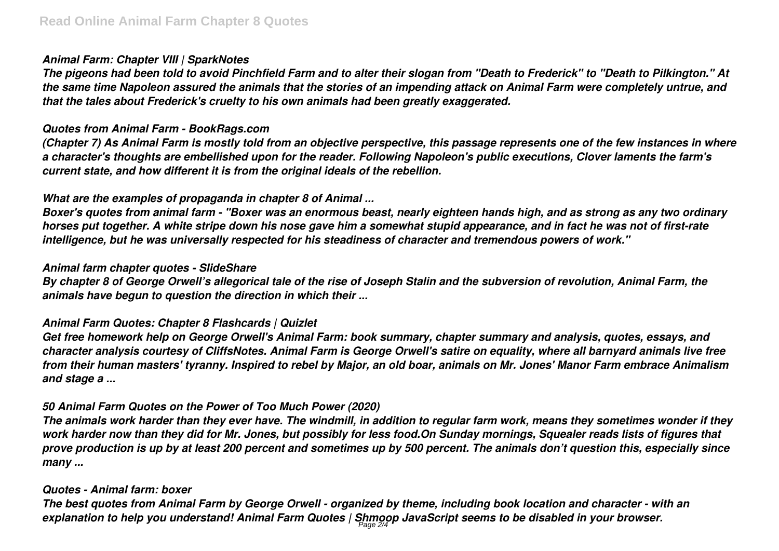# *Animal Farm: Chapter VIII | SparkNotes*

*The pigeons had been told to avoid Pinchfield Farm and to alter their slogan from "Death to Frederick" to "Death to Pilkington." At the same time Napoleon assured the animals that the stories of an impending attack on Animal Farm were completely untrue, and that the tales about Frederick's cruelty to his own animals had been greatly exaggerated.*

#### *Quotes from Animal Farm - BookRags.com*

*(Chapter 7) As Animal Farm is mostly told from an objective perspective, this passage represents one of the few instances in where a character's thoughts are embellished upon for the reader. Following Napoleon's public executions, Clover laments the farm's current state, and how different it is from the original ideals of the rebellion.*

# *What are the examples of propaganda in chapter 8 of Animal ...*

*Boxer's quotes from animal farm - "Boxer was an enormous beast, nearly eighteen hands high, and as strong as any two ordinary horses put together. A white stripe down his nose gave him a somewhat stupid appearance, and in fact he was not of first-rate intelligence, but he was universally respected for his steadiness of character and tremendous powers of work."*

# *Animal farm chapter quotes - SlideShare*

*By chapter 8 of George Orwell's allegorical tale of the rise of Joseph Stalin and the subversion of revolution, Animal Farm, the animals have begun to question the direction in which their ...*

# *Animal Farm Quotes: Chapter 8 Flashcards | Quizlet*

*Get free homework help on George Orwell's Animal Farm: book summary, chapter summary and analysis, quotes, essays, and character analysis courtesy of CliffsNotes. Animal Farm is George Orwell's satire on equality, where all barnyard animals live free from their human masters' tyranny. Inspired to rebel by Major, an old boar, animals on Mr. Jones' Manor Farm embrace Animalism and stage a ...*

# *50 Animal Farm Quotes on the Power of Too Much Power (2020)*

*The animals work harder than they ever have. The windmill, in addition to regular farm work, means they sometimes wonder if they work harder now than they did for Mr. Jones, but possibly for less food.On Sunday mornings, Squealer reads lists of figures that prove production is up by at least 200 percent and sometimes up by 500 percent. The animals don't question this, especially since many ...*

#### *Quotes - Animal farm: boxer*

*The best quotes from Animal Farm by George Orwell - organized by theme, including book location and character - with an explanation to help you understand! Animal Farm Quotes | Shmoop JavaScript seems to be disabled in your browser.* Page 2/4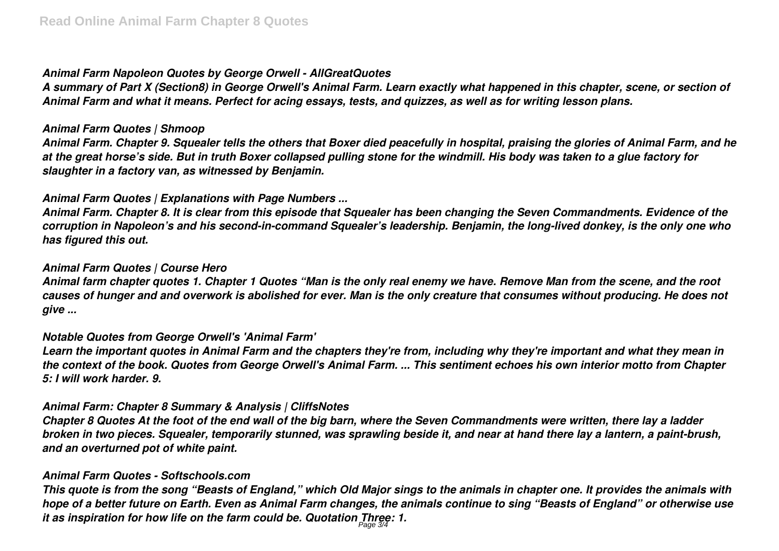# *Animal Farm Napoleon Quotes by George Orwell - AllGreatQuotes*

*A summary of Part X (Section8) in George Orwell's Animal Farm. Learn exactly what happened in this chapter, scene, or section of Animal Farm and what it means. Perfect for acing essays, tests, and quizzes, as well as for writing lesson plans.*

# *Animal Farm Quotes | Shmoop*

*Animal Farm. Chapter 9. Squealer tells the others that Boxer died peacefully in hospital, praising the glories of Animal Farm, and he at the great horse's side. But in truth Boxer collapsed pulling stone for the windmill. His body was taken to a glue factory for slaughter in a factory van, as witnessed by Benjamin.*

# *Animal Farm Quotes | Explanations with Page Numbers ...*

*Animal Farm. Chapter 8. It is clear from this episode that Squealer has been changing the Seven Commandments. Evidence of the corruption in Napoleon's and his second-in-command Squealer's leadership. Benjamin, the long-lived donkey, is the only one who has figured this out.*

# *Animal Farm Quotes | Course Hero*

*Animal farm chapter quotes 1. Chapter 1 Quotes "Man is the only real enemy we have. Remove Man from the scene, and the root causes of hunger and and overwork is abolished for ever. Man is the only creature that consumes without producing. He does not give ...*

# *Notable Quotes from George Orwell's 'Animal Farm'*

*Learn the important quotes in Animal Farm and the chapters they're from, including why they're important and what they mean in the context of the book. Quotes from George Orwell's Animal Farm. ... This sentiment echoes his own interior motto from Chapter 5: I will work harder. 9.*

# *Animal Farm: Chapter 8 Summary & Analysis | CliffsNotes*

*Chapter 8 Quotes At the foot of the end wall of the big barn, where the Seven Commandments were written, there lay a ladder broken in two pieces. Squealer, temporarily stunned, was sprawling beside it, and near at hand there lay a lantern, a paint-brush, and an overturned pot of white paint.*

# *Animal Farm Quotes - Softschools.com*

*This quote is from the song "Beasts of England," which Old Major sings to the animals in chapter one. It provides the animals with hope of a better future on Earth. Even as Animal Farm changes, the animals continue to sing "Beasts of England" or otherwise use it as inspiration for how life on the farm could be. Quotation Three: 1.* Page 3/4